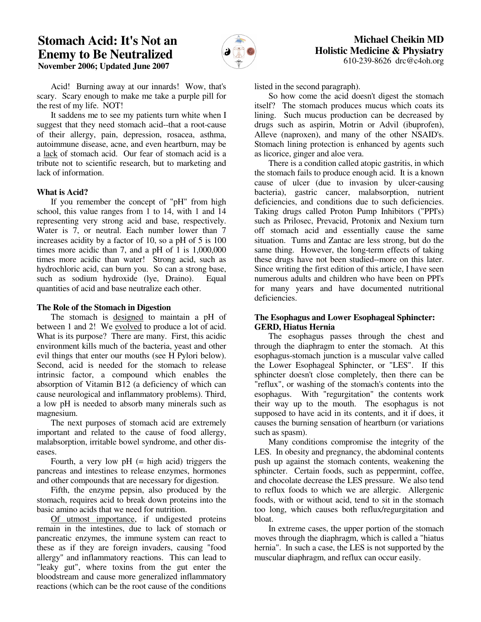# **Stomach Acid: It's Not an Enemy to Be Neutralized November 2006; Updated June 2007**



 Acid! Burning away at our innards! Wow, that's scary. Scary enough to make me take a purple pill for the rest of my life. NOT!

 It saddens me to see my patients turn white when I suggest that they need stomach acid--that a root-cause of their allergy, pain, depression, rosacea, asthma, autoimmune disease, acne, and even heartburn, may be a lack of stomach acid. Our fear of stomach acid is a tribute not to scientific research, but to marketing and lack of information.

## **What is Acid?**

 If you remember the concept of "pH" from high school, this value ranges from 1 to 14, with 1 and 14 representing very strong acid and base, respectively. Water is 7, or neutral. Each number lower than 7 increases acidity by a factor of 10, so a pH of 5 is 100 times more acidic than 7, and a pH of 1 is 1,000,000 times more acidic than water! Strong acid, such as hydrochloric acid, can burn you. So can a strong base, such as sodium hydroxide (lye, Draino). Equal quantities of acid and base neutralize each other.

#### **The Role of the Stomach in Digestion**

 The stomach is designed to maintain a pH of between 1 and 2! We evolved to produce a lot of acid. What is its purpose? There are many. First, this acidic environment kills much of the bacteria, yeast and other evil things that enter our mouths (see H Pylori below). Second, acid is needed for the stomach to release intrinsic factor, a compound which enables the absorption of Vitamin B12 (a deficiency of which can cause neurological and inflammatory problems). Third, a low pH is needed to absorb many minerals such as magnesium.

 The next purposes of stomach acid are extremely important and related to the cause of food allergy, malabsorption, irritable bowel syndrome, and other diseases.

Fourth, a very low  $pH$  (= high acid) triggers the pancreas and intestines to release enzymes, hormones and other compounds that are necessary for digestion.

 Fifth, the enzyme pepsin, also produced by the stomach, requires acid to break down proteins into the basic amino acids that we need for nutrition.

 Of utmost importance, if undigested proteins remain in the intestines, due to lack of stomach or pancreatic enzymes, the immune system can react to these as if they are foreign invaders, causing "food allergy" and inflammatory reactions. This can lead to "leaky gut", where toxins from the gut enter the bloodstream and cause more generalized inflammatory reactions (which can be the root cause of the conditions

listed in the second paragraph).

 So how come the acid doesn't digest the stomach itself? The stomach produces mucus which coats its lining. Such mucus production can be decreased by drugs such as aspirin, Motrin or Advil (ibuprofen), Alleve (naproxen), and many of the other NSAID's. Stomach lining protection is enhanced by agents such as licorice, ginger and aloe vera.

 There is a condition called atopic gastritis, in which the stomach fails to produce enough acid. It is a known cause of ulcer (due to invasion by ulcer-causing bacteria), gastric cancer, malabsorption, nutrient deficiencies, and conditions due to such deficiencies. Taking drugs called Proton Pump Inhibitors ("PPI's) such as Prilosec, Prevacid, Protonix and Nexium turn off stomach acid and essentially cause the same situation. Tums and Zantac are less strong, but do the same thing. However, the long-term effects of taking these drugs have not been studied--more on this later. Since writing the first edition of this article, I have seen numerous adults and children who have been on PPI's for many years and have documented nutritional deficiencies.

## **The Esophagus and Lower Esophageal Sphincter: GERD, Hiatus Hernia**

 The esophagus passes through the chest and through the diaphragm to enter the stomach. At this esophagus-stomach junction is a muscular valve called the Lower Esophageal Sphincter, or "LES". If this sphincter doesn't close completely, then there can be "reflux", or washing of the stomach's contents into the esophagus. With "regurgitation" the contents work their way up to the mouth. The esophagus is not supposed to have acid in its contents, and it if does, it causes the burning sensation of heartburn (or variations such as spasm).

 Many conditions compromise the integrity of the LES. In obesity and pregnancy, the abdominal contents push up against the stomach contents, weakening the sphincter. Certain foods, such as peppermint, coffee, and chocolate decrease the LES pressure. We also tend to reflux foods to which we are allergic. Allergenic foods, with or without acid, tend to sit in the stomach too long, which causes both reflux/regurgitation and bloat.

 In extreme cases, the upper portion of the stomach moves through the diaphragm, which is called a "hiatus hernia". In such a case, the LES is not supported by the muscular diaphragm, and reflux can occur easily.